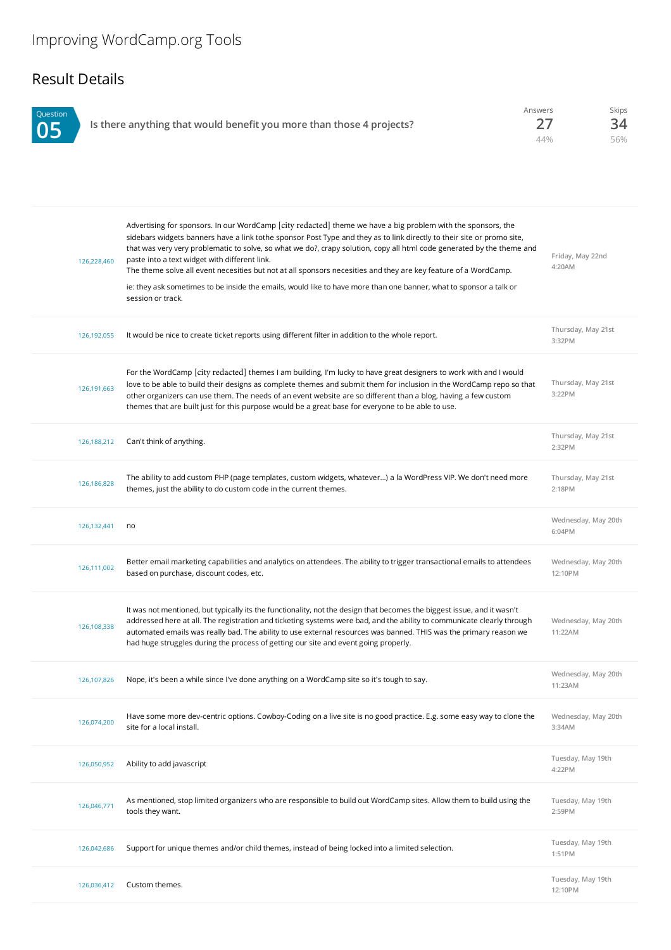## Result Details

| Question<br>05 | Is there anything that would benefit you more than those 4 projects? | Answers | Skips |
|----------------|----------------------------------------------------------------------|---------|-------|
|                |                                                                      | 44%     | 56%   |

| 126,228,460 | Advertising for sponsors. In our WordCamp [city redacted] theme we have a big problem with the sponsors, the<br>sidebars widgets banners have a link tothe sponsor Post Type and they as to link directly to their site or promo site,<br>that was very very problematic to solve, so what we do?, crapy solution, copy all html code generated by the theme and<br>paste into a text widget with different link.<br>The theme solve all event necesities but not at all sponsors necesities and they are key feature of a WordCamp.<br>ie: they ask sometimes to be inside the emails, would like to have more than one banner, what to sponsor a talk or<br>session or track. | Friday, May 22nd<br>4:20AM     |
|-------------|---------------------------------------------------------------------------------------------------------------------------------------------------------------------------------------------------------------------------------------------------------------------------------------------------------------------------------------------------------------------------------------------------------------------------------------------------------------------------------------------------------------------------------------------------------------------------------------------------------------------------------------------------------------------------------|--------------------------------|
| 126,192,055 | It would be nice to create ticket reports using different filter in addition to the whole report.                                                                                                                                                                                                                                                                                                                                                                                                                                                                                                                                                                               | Thursday, May 21st<br>3:32PM   |
| 126,191,663 | For the WordCamp [city redacted] themes I am building, I'm lucky to have great designers to work with and I would<br>love to be able to build their designs as complete themes and submit them for inclusion in the WordCamp repo so that<br>other organizers can use them. The needs of an event website are so different than a blog, having a few custom<br>themes that are built just for this purpose would be a great base for everyone to be able to use.                                                                                                                                                                                                                | Thursday, May 21st<br>3:22PM   |
| 126,188,212 | Can't think of anything.                                                                                                                                                                                                                                                                                                                                                                                                                                                                                                                                                                                                                                                        | Thursday, May 21st<br>2:32PM   |
| 126,186,828 | The ability to add custom PHP (page templates, custom widgets, whatever) a la WordPress VIP. We don't need more<br>themes, just the ability to do custom code in the current themes.                                                                                                                                                                                                                                                                                                                                                                                                                                                                                            | Thursday, May 21st<br>2:18PM   |
| 126,132,441 | no                                                                                                                                                                                                                                                                                                                                                                                                                                                                                                                                                                                                                                                                              | Wednesday, May 20th<br>6:04PM  |
| 126,111,002 | Better email marketing capabilities and analytics on attendees. The ability to trigger transactional emails to attendees<br>based on purchase, discount codes, etc.                                                                                                                                                                                                                                                                                                                                                                                                                                                                                                             | Wednesday, May 20th<br>12:10PM |
| 126,108,338 | It was not mentioned, but typically its the functionality, not the design that becomes the biggest issue, and it wasn't<br>addressed here at all. The registration and ticketing systems were bad, and the ability to communicate clearly through<br>automated emails was really bad. The ability to use external resources was banned. THIS was the primary reason we<br>had huge struggles during the process of getting our site and event going properly.                                                                                                                                                                                                                   | Wednesday, May 20th<br>11:22AM |
| 126,107,826 | Nope, it's been a while since I've done anything on a WordCamp site so it's tough to say.                                                                                                                                                                                                                                                                                                                                                                                                                                                                                                                                                                                       | Wednesday, May 20th<br>11:23AM |
| 126,074,200 | Have some more dev-centric options. Cowboy-Coding on a live site is no good practice. E.g. some easy way to clone the<br>site for a local install.                                                                                                                                                                                                                                                                                                                                                                                                                                                                                                                              | Wednesday, May 20th<br>3:34AM  |
| 126,050,952 | Ability to add javascript                                                                                                                                                                                                                                                                                                                                                                                                                                                                                                                                                                                                                                                       | Tuesday, May 19th<br>4:22PM    |
| 126,046,771 | As mentioned, stop limited organizers who are responsible to build out WordCamp sites. Allow them to build using the<br>tools they want.                                                                                                                                                                                                                                                                                                                                                                                                                                                                                                                                        | Tuesday, May 19th<br>2:59PM    |
| 126,042,686 | Support for unique themes and/or child themes, instead of being locked into a limited selection.                                                                                                                                                                                                                                                                                                                                                                                                                                                                                                                                                                                | Tuesday, May 19th<br>1:51PM    |
| 126,036,412 | Custom themes.                                                                                                                                                                                                                                                                                                                                                                                                                                                                                                                                                                                                                                                                  | Tuesday, May 19th<br>12:10PM   |
|             |                                                                                                                                                                                                                                                                                                                                                                                                                                                                                                                                                                                                                                                                                 |                                |